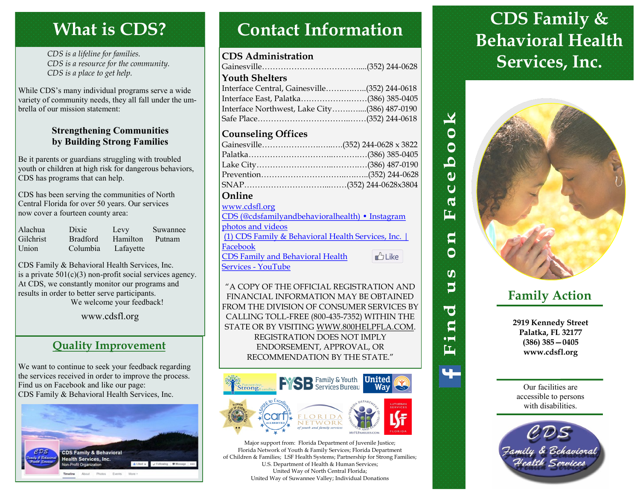# **What is CDS?**

*CDS is a lifeline for families. CDS is a resource for the community. CDS is a place to get help.*

While CDS's many individual programs serve a wide variety of community needs, they all fall under the umbrella of our mission statement:

### **Strengthening Communities by Building Strong Families**

Be it parents or guardians struggling with troubled youth or children at high risk for dangerous behaviors, CDS has programs that can help.

CDS has been serving the communities of North Central Florida for over 50 years. Our services now cover a fourteen county area:

| Alachua          | Dixie           | Levy      | Suwannee |
|------------------|-----------------|-----------|----------|
| <b>Gilchrist</b> | <b>Bradford</b> | Hamilton  | Putnam   |
| Union            | Columbia        | Lafayette |          |

CDS Family & Behavioral Health Services, Inc. is a private  $501(c)(3)$  non-profit social services agency. At CDS, we constantly monitor our programs and results in order to better serve participants. We welcome your feedback!

## www.cdsfl.org

## **Quality Improvement**

We want to continue to seek your feedback regarding the services received in order to improve the process. Find us on Facebook and like our page: CDS Family & Behavioral Health Services, Inc.



# **Contact Information**

### **CDS Administration**

| <b>Youth Shelters</b>                        |  |
|----------------------------------------------|--|
| Interface Central, Gainesville(352) 244-0618 |  |
| Interface East, Palatka(386) 385-0405        |  |
| Interface Northwest, Lake City(386) 487-0190 |  |
|                                              |  |
|                                              |  |

### **Counseling Offices**

| Gainesville(352) 244-0628 x 3822 |  |
|----------------------------------|--|
|                                  |  |
|                                  |  |
|                                  |  |
|                                  |  |
| Online                           |  |

| www.cdsfl.org                                     |               |
|---------------------------------------------------|---------------|
| CDS (@cdsfamilyandbehavioralhealth) • Instagram   |               |
| photos and videos                                 |               |
| (1) CDS Family & Behavioral Health Services, Inc. |               |
| Facebook                                          |               |
| <b>CDS Family and Behavioral Health</b>           | <b>D</b> Like |
| <b>Services - YouTube</b>                         |               |

"A COPY OF THE OFFICIAL REGISTRATION AND FINANCIAL INFORMATION MAY BE OBTAINED FROM THE DIVISION OF CONSUMER SERVICES BY CALLING TOLL-FREE (800-435-7352) WITHIN THE STATE OR BY VISITING WWW.800HELPFLA.COM. REGISTRATION DOES NOT IMPLY ENDORSEMENT, APPROVAL, OR RECOMMENDATION BY THE STATE."



Major support from: Florida Department of Juvenile Justice; Florida Network of Youth & Family Services; Florida Department of Children & Families; LSF Health Systems; Partnership for Strong Families; U.S. Department of Health & Human Services; United Way of North Central Florida; United Way of Suwannee Valley; Individual Donations

# **CDS Family & Behavioral Health Services, Inc.**



 $\blacktriangleright$ 

 $\overline{b}$  o  $\overline{c}$ 

 $\dot{a}$ Ū  $\boldsymbol{\varphi}$ ĖĖ

> q Ô

**SO**  $\mathbf{5}$ 

**O** S  $\bullet$   $\blacksquare$ 雪

## **Family Action**

**2919 Kennedy Street Palatka, FL 32177 (386) 385—0405 www.cdsfl.org**

Our facilities are accessible to persons with disabilities.